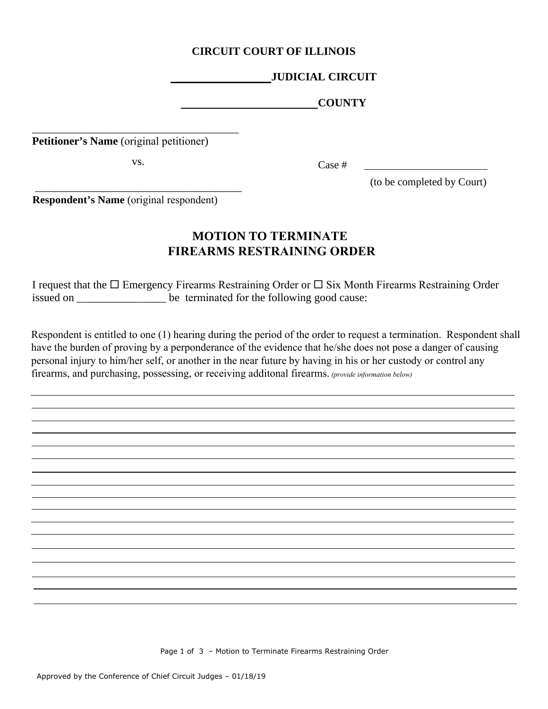## **CIRCUIT COURT OF ILLINOIS**

## **JUDICIAL CIRCUIT**

 **COUNTY**

**Petitioner's Name** (original petitioner)

vs.

\_\_\_\_\_\_\_\_\_\_\_\_\_\_\_\_\_\_\_\_\_\_\_\_\_\_\_\_\_\_\_\_\_\_\_\_\_

\_\_\_\_\_\_\_\_\_\_\_\_\_\_\_\_\_\_\_\_\_\_\_\_\_\_\_\_\_\_\_\_\_\_\_\_\_

Case #

(to be completed by Court)

**Respondent's Name** (original respondent)

## **MOTION TO TERMINATE FIREARMS RESTRAINING ORDER**

I request that the  $\Box$  Emergency Firearms Restraining Order or  $\Box$  Six Month Firearms Restraining Order issued on \_\_\_\_\_\_\_\_\_\_\_\_\_\_\_\_ be terminated for the following good cause:

Respondent is entitled to one (1) hearing during the period of the order to request a termination. Respondent shall have the burden of proving by a perponderance of the evidence that he/she does not pose a danger of causing personal injury to him/her self, or another in the near future by having in his or her custody or control any firearms, and purchasing, possessing, or receiving additonal firearms. *(provide information below)*

Page 1 of 3 – Motion to Terminate Firearms Restraining Order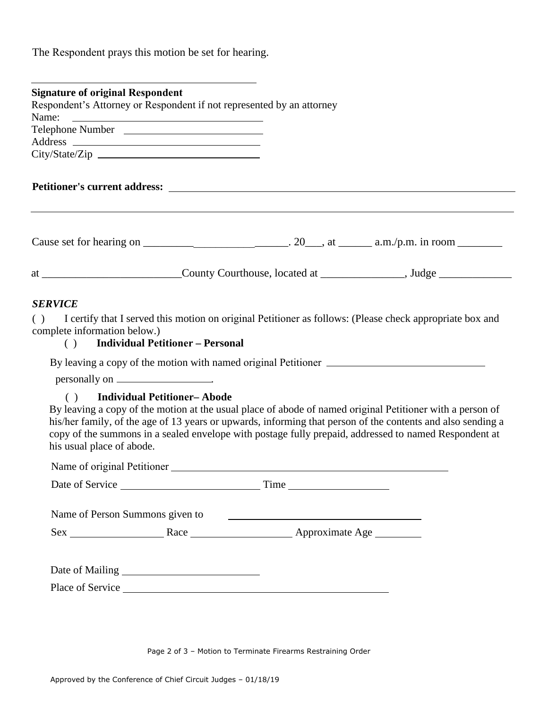The Respondent prays this motion be set for hearing.

| <b>Signature of original Respondent</b>                                        |  |                                                                                                                                                                                                                                                                                                                                   |
|--------------------------------------------------------------------------------|--|-----------------------------------------------------------------------------------------------------------------------------------------------------------------------------------------------------------------------------------------------------------------------------------------------------------------------------------|
| Respondent's Attorney or Respondent if not represented by an attorney<br>Name: |  |                                                                                                                                                                                                                                                                                                                                   |
| <u> 1989 - Jan Barnett, fransk politiker (d. 1989)</u>                         |  |                                                                                                                                                                                                                                                                                                                                   |
|                                                                                |  |                                                                                                                                                                                                                                                                                                                                   |
|                                                                                |  |                                                                                                                                                                                                                                                                                                                                   |
|                                                                                |  |                                                                                                                                                                                                                                                                                                                                   |
|                                                                                |  |                                                                                                                                                                                                                                                                                                                                   |
|                                                                                |  | at _______________________________County Courthouse, located at ________________, Judge ______________________                                                                                                                                                                                                                    |
| <b>SERVICE</b>                                                                 |  |                                                                                                                                                                                                                                                                                                                                   |
| ( )<br>complete information below.)<br>( ) Individual Petitioner - Personal    |  | I certify that I served this motion on original Petitioner as follows: (Please check appropriate box and                                                                                                                                                                                                                          |
|                                                                                |  | By leaving a copy of the motion with named original Petitioner __________________                                                                                                                                                                                                                                                 |
|                                                                                |  |                                                                                                                                                                                                                                                                                                                                   |
| () Individual Petitioner-Abode<br>his usual place of abode.                    |  | By leaving a copy of the motion at the usual place of abode of named original Petitioner with a person of<br>his/her family, of the age of 13 years or upwards, informing that person of the contents and also sending a<br>copy of the summons in a sealed envelope with postage fully prepaid, addressed to named Respondent at |
|                                                                                |  |                                                                                                                                                                                                                                                                                                                                   |
|                                                                                |  |                                                                                                                                                                                                                                                                                                                                   |
| Name of Person Summons given to                                                |  |                                                                                                                                                                                                                                                                                                                                   |
|                                                                                |  |                                                                                                                                                                                                                                                                                                                                   |
|                                                                                |  |                                                                                                                                                                                                                                                                                                                                   |
|                                                                                |  |                                                                                                                                                                                                                                                                                                                                   |
|                                                                                |  |                                                                                                                                                                                                                                                                                                                                   |

Page 2 of 3 – Motion to Terminate Firearms Restraining Order